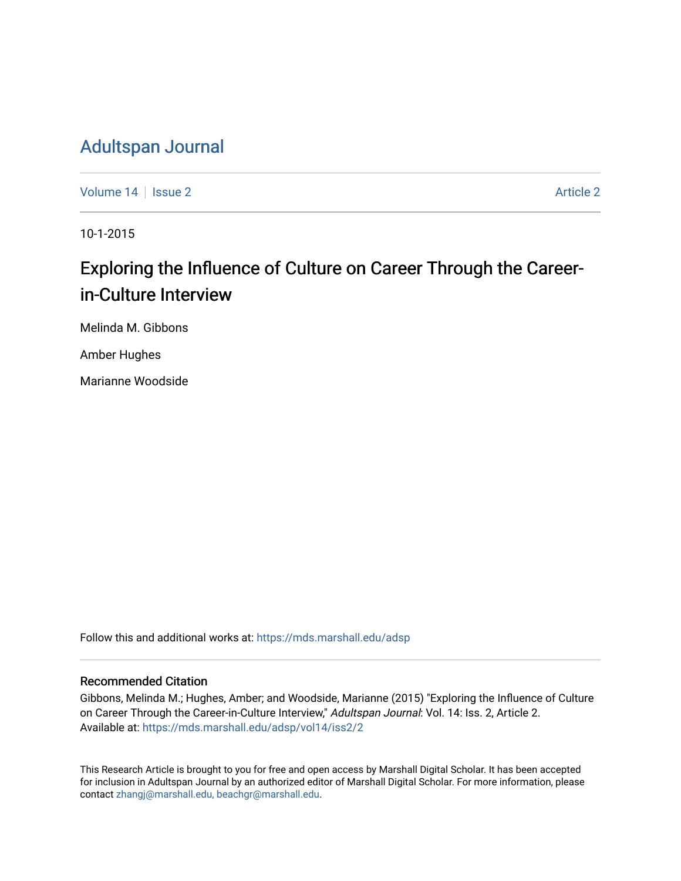# [Adultspan Journal](https://mds.marshall.edu/adsp)

[Volume 14](https://mds.marshall.edu/adsp/vol14) | [Issue 2](https://mds.marshall.edu/adsp/vol14/iss2) [Article 2](https://mds.marshall.edu/adsp/vol14/iss2/2) Article 2 Article 2 Article 2 Article 2 Article 2 Article 2 Article 2 Article 2

10-1-2015

# Exploring the Influence of Culture on Career Through the Careerin-Culture Interview

Melinda M. Gibbons

Amber Hughes

Marianne Woodside

Follow this and additional works at: [https://mds.marshall.edu/adsp](https://mds.marshall.edu/adsp?utm_source=mds.marshall.edu%2Fadsp%2Fvol14%2Fiss2%2F2&utm_medium=PDF&utm_campaign=PDFCoverPages) 

## Recommended Citation

Gibbons, Melinda M.; Hughes, Amber; and Woodside, Marianne (2015) "Exploring the Influence of Culture on Career Through the Career-in-Culture Interview," Adultspan Journal: Vol. 14: Iss. 2, Article 2. Available at: [https://mds.marshall.edu/adsp/vol14/iss2/2](https://mds.marshall.edu/adsp/vol14/iss2/2?utm_source=mds.marshall.edu%2Fadsp%2Fvol14%2Fiss2%2F2&utm_medium=PDF&utm_campaign=PDFCoverPages) 

This Research Article is brought to you for free and open access by Marshall Digital Scholar. It has been accepted for inclusion in Adultspan Journal by an authorized editor of Marshall Digital Scholar. For more information, please contact [zhangj@marshall.edu, beachgr@marshall.edu](mailto:zhangj@marshall.edu,%20beachgr@marshall.edu).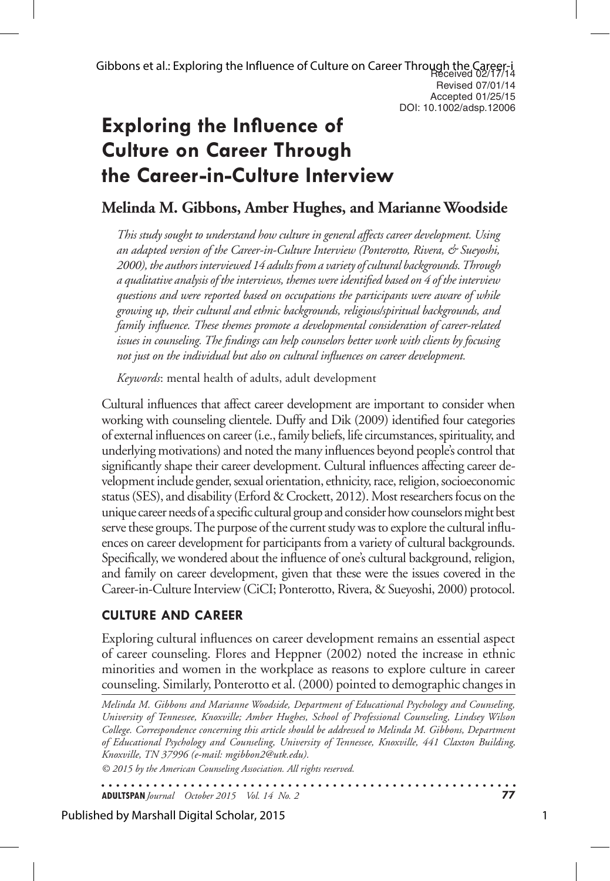# **Exploring the Influence of Culture on Career Through the Career-in-Culture Interview**

# **Melinda M. Gibbons, Amber Hughes, and Marianne Woodside**

*This study sought to understand how culture in general affects career development. Using an adapted version of the Career-in-Culture Interview (Ponterotto, Rivera, & Sueyoshi, 2000), the authors interviewed 14 adults from a variety of cultural backgrounds. Through a qualitative analysis of the interviews, themes were identified based on 4 of the interview questions and were reported based on occupations the participants were aware of while growing up, their cultural and ethnic backgrounds, religious/spiritual backgrounds, and family influence. These themes promote a developmental consideration of career-related issues in counseling. The findings can help counselors better work with clients by focusing not just on the individual but also on cultural influences on career development.*

*Keywords*: mental health of adults, adult development

Cultural influences that affect career development are important to consider when working with counseling clientele. Duffy and Dik (2009) identified four categories of external influences on career (i.e., family beliefs, life circumstances, spirituality, and underlying motivations) and noted the many influences beyond people's control that significantly shape their career development. Cultural influences affecting career development include gender, sexual orientation, ethnicity, race, religion, socioeconomic status (SES), and disability (Erford & Crockett, 2012). Most researchers focus on the unique career needs of a specific cultural group and consider how counselors might best serve these groups. The purpose of the current study was to explore the cultural influences on career development for participants from a variety of cultural backgrounds. Specifically, we wondered about the influence of one's cultural background, religion, and family on career development, given that these were the issues covered in the Career-in-Culture Interview (CiCI; Ponterotto, Rivera, & Sueyoshi, 2000) protocol.

# **Culture and Career**

Exploring cultural influences on career development remains an essential aspect of career counseling. Flores and Heppner (2002) noted the increase in ethnic minorities and women in the workplace as reasons to explore culture in career counseling. Similarly, Ponterotto et al. (2000) pointed to demographic changes in

*Melinda M. Gibbons and Marianne Woodside, Department of Educational Psychology and Counseling, University of Tennessee, Knoxville; Amber Hughes, School of Professional Counseling, Lindsey Wilson College. Correspondence concerning this article should be addressed to Melinda M. Gibbons, Department of Educational Psychology and Counseling, University of Tennessee, Knoxville, 441 Claxton Building, Knoxville, TN 37996 (e-mail: mgibbon2@utk.edu).* 

*© 2015 by the American Counseling Association. All rights reserved.*

. . . . . . . . . . . . . . . . . . . . . . . . . . . . . . . . . . . . . **ADULTSPAN***Journal October 2015 Vol. 14 No. 2* **77**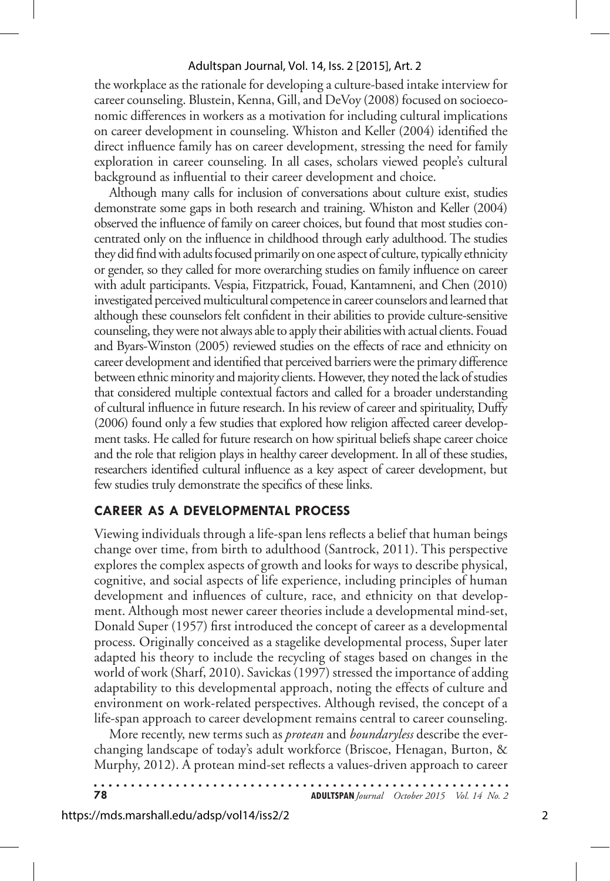the workplace as the rationale for developing a culture-based intake interview for career counseling. Blustein, Kenna, Gill, and DeVoy (2008) focused on socioeconomic differences in workers as a motivation for including cultural implications on career development in counseling. Whiston and Keller (2004) identified the direct influence family has on career development, stressing the need for family exploration in career counseling. In all cases, scholars viewed people's cultural background as influential to their career development and choice.

Although many calls for inclusion of conversations about culture exist, studies demonstrate some gaps in both research and training. Whiston and Keller (2004) observed the influence of family on career choices, but found that most studies concentrated only on the influence in childhood through early adulthood. The studies they did find with adults focused primarily on one aspect of culture, typically ethnicity or gender, so they called for more overarching studies on family influence on career with adult participants. Vespia, Fitzpatrick, Fouad, Kantamneni, and Chen (2010) investigated perceived multicultural competence in career counselors and learned that although these counselors felt confident in their abilities to provide culture-sensitive counseling, they were not always able to apply their abilities with actual clients. Fouad and Byars-Winston (2005) reviewed studies on the effects of race and ethnicity on career development and identified that perceived barriers were the primary difference between ethnic minority and majority clients. However, they noted the lack of studies that considered multiple contextual factors and called for a broader understanding of cultural influence in future research. In his review of career and spirituality, Duffy (2006) found only a few studies that explored how religion affected career development tasks. He called for future research on how spiritual beliefs shape career choice and the role that religion plays in healthy career development. In all of these studies, researchers identified cultural influence as a key aspect of career development, but few studies truly demonstrate the specifics of these links.

# **Career as a Developmental Process**

Viewing individuals through a life-span lens reflects a belief that human beings change over time, from birth to adulthood (Santrock, 2011). This perspective explores the complex aspects of growth and looks for ways to describe physical, cognitive, and social aspects of life experience, including principles of human development and influences of culture, race, and ethnicity on that development. Although most newer career theories include a developmental mind-set, Donald Super (1957) first introduced the concept of career as a developmental process. Originally conceived as a stagelike developmental process, Super later adapted his theory to include the recycling of stages based on changes in the world of work (Sharf, 2010). Savickas (1997) stressed the importance of adding adaptability to this developmental approach, noting the effects of culture and environment on work-related perspectives. Although revised, the concept of a life-span approach to career development remains central to career counseling.

More recently, new terms such as *protean* and *boundaryless* describe the everchanging landscape of today's adult workforce (Briscoe, Henagan, Burton, & Murphy, 2012). A protean mind-set reflects a values-driven approach to career

. . . . . . . . . . . . . . . . .

**78 ADULTSPAN***Journal October 2015 Vol. 14 No. 2*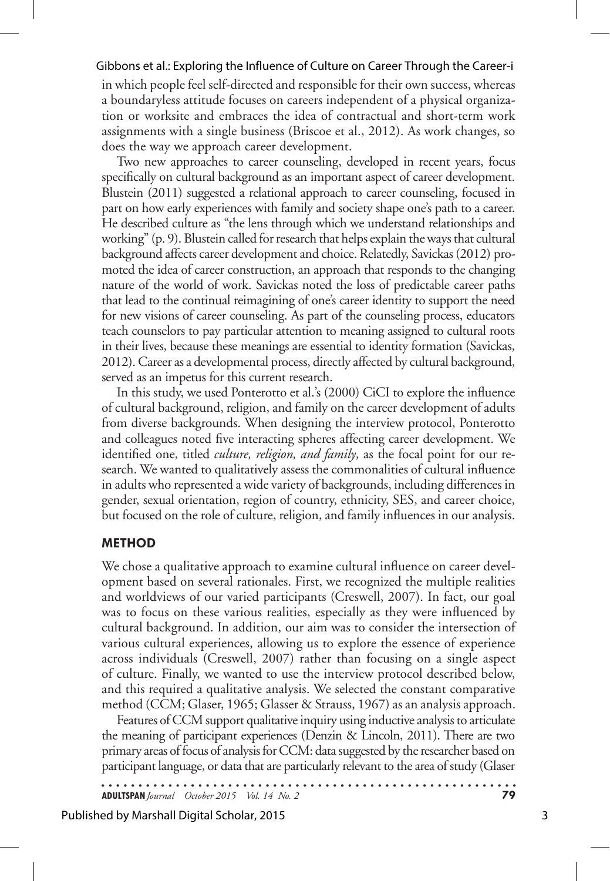in which people feel self-directed and responsible for their own success, whereas a boundaryless attitude focuses on careers independent of a physical organization or worksite and embraces the idea of contractual and short-term work assignments with a single business (Briscoe et al., 2012). As work changes, so does the way we approach career development.

Two new approaches to career counseling, developed in recent years, focus specifically on cultural background as an important aspect of career development. Blustein (2011) suggested a relational approach to career counseling, focused in part on how early experiences with family and society shape one's path to a career. He described culture as "the lens through which we understand relationships and working" (p. 9). Blustein called for research that helps explain the ways that cultural background affects career development and choice. Relatedly, Savickas (2012) promoted the idea of career construction, an approach that responds to the changing nature of the world of work. Savickas noted the loss of predictable career paths that lead to the continual reimagining of one's career identity to support the need for new visions of career counseling. As part of the counseling process, educators teach counselors to pay particular attention to meaning assigned to cultural roots in their lives, because these meanings are essential to identity formation (Savickas, 2012). Career as a developmental process, directly affected by cultural background, served as an impetus for this current research.

In this study, we used Ponterotto et al.'s (2000) CiCI to explore the influence of cultural background, religion, and family on the career development of adults from diverse backgrounds. When designing the interview protocol, Ponterotto and colleagues noted five interacting spheres affecting career development. We identified one, titled *culture, religion, and family*, as the focal point for our research. We wanted to qualitatively assess the commonalities of cultural influence in adults who represented a wide variety of backgrounds, including differences in gender, sexual orientation, region of country, ethnicity, SES, and career choice, but focused on the role of culture, religion, and family influences in our analysis.

## **Method**

We chose a qualitative approach to examine cultural influence on career development based on several rationales. First, we recognized the multiple realities and worldviews of our varied participants (Creswell, 2007). In fact, our goal was to focus on these various realities, especially as they were influenced by cultural background. In addition, our aim was to consider the intersection of various cultural experiences, allowing us to explore the essence of experience across individuals (Creswell, 2007) rather than focusing on a single aspect of culture. Finally, we wanted to use the interview protocol described below, and this required a qualitative analysis. We selected the constant comparative method (CCM; Glaser, 1965; Glasser & Strauss, 1967) as an analysis approach.

Features of CCM support qualitative inquiry using inductive analysis to articulate the meaning of participant experiences (Denzin & Lincoln, 2011). There are two primary areas of focus of analysis for CCM: data suggested by the researcher based on participant language, or data that are particularly relevant to the area of study (Glaser

**ADULTSPAN***Journal October 2015 Vol. 14 No. 2* **79**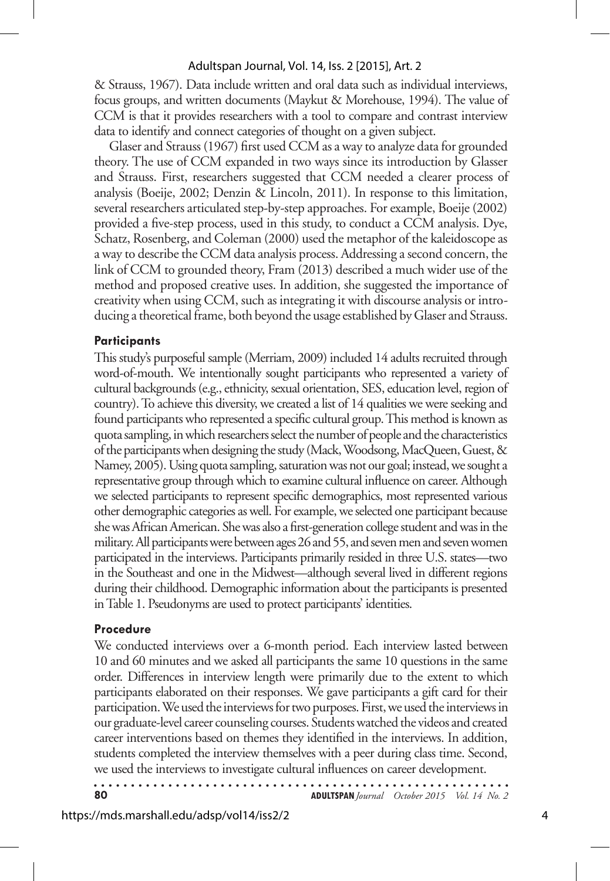& Strauss, 1967). Data include written and oral data such as individual interviews, focus groups, and written documents (Maykut & Morehouse, 1994). The value of CCM is that it provides researchers with a tool to compare and contrast interview data to identify and connect categories of thought on a given subject.

Glaser and Strauss (1967) first used CCM as a way to analyze data for grounded theory. The use of CCM expanded in two ways since its introduction by Glasser and Strauss. First, researchers suggested that CCM needed a clearer process of analysis (Boeije, 2002; Denzin & Lincoln, 2011). In response to this limitation, several researchers articulated step-by-step approaches. For example, Boeije (2002) provided a five-step process, used in this study, to conduct a CCM analysis. Dye, Schatz, Rosenberg, and Coleman (2000) used the metaphor of the kaleidoscope as a way to describe the CCM data analysis process. Addressing a second concern, the link of CCM to grounded theory, Fram (2013) described a much wider use of the method and proposed creative uses. In addition, she suggested the importance of creativity when using CCM, such as integrating it with discourse analysis or introducing a theoretical frame, both beyond the usage established by Glaser and Strauss.

## **Participants**

This study's purposeful sample (Merriam, 2009) included 14 adults recruited through word-of-mouth. We intentionally sought participants who represented a variety of cultural backgrounds (e.g., ethnicity, sexual orientation, SES, education level, region of country). To achieve this diversity, we created a list of 14 qualities we were seeking and found participants who represented a specific cultural group. This method is known as quota sampling, in which researchers select the number of people and the characteristics of the participants when designing the study (Mack, Woodsong, MacQueen, Guest, & Namey, 2005). Using quota sampling, saturation was not our goal; instead, we sought a representative group through which to examine cultural influence on career. Although we selected participants to represent specific demographics, most represented various other demographic categories as well. For example, we selected one participant because she was African American. She was also a first-generation college student and was in the military. All participants were between ages 26 and 55, and seven men and seven women participated in the interviews. Participants primarily resided in three U.S. states—two in the Southeast and one in the Midwest—although several lived in different regions during their childhood. Demographic information about the participants is presented in Table 1. Pseudonyms are used to protect participants' identities.

## **Procedure**

We conducted interviews over a 6-month period. Each interview lasted between 10 and 60 minutes and we asked all participants the same 10 questions in the same order. Differences in interview length were primarily due to the extent to which participants elaborated on their responses. We gave participants a gift card for their participation. We used the interviews for two purposes. First, we used the interviews in our graduate-level career counseling courses. Students watched the videos and created career interventions based on themes they identified in the interviews. In addition, students completed the interview themselves with a peer during class time. Second, we used the interviews to investigate cultural influences on career development.

**80 ADULTSPAN***Journal October 2015 Vol. 14 No. 2*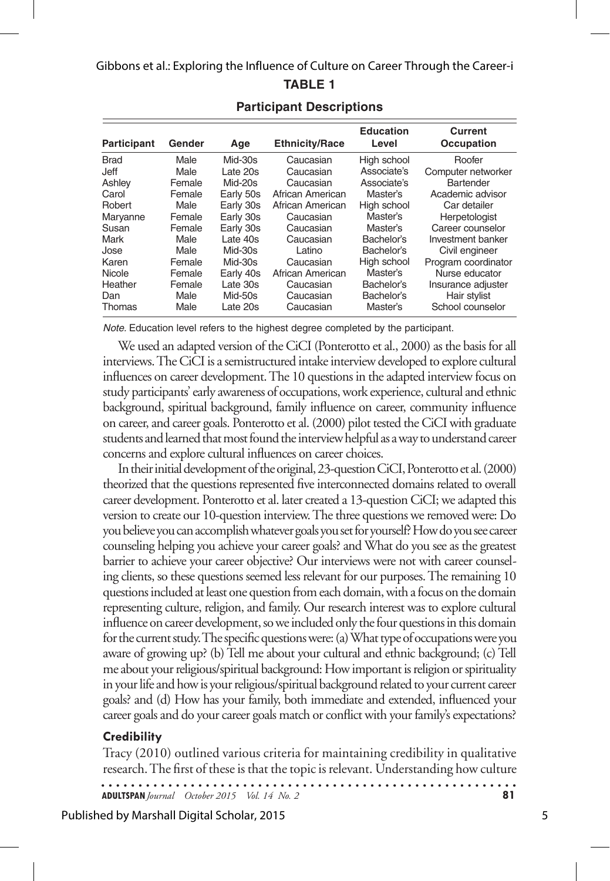| <b>Participant</b> | Gender | Age       | <b>Ethnicity/Race</b> | <b>Education</b><br>Level | Current<br>Occupation |
|--------------------|--------|-----------|-----------------------|---------------------------|-----------------------|
| <b>Brad</b>        | Male   | $Mid-30s$ | Caucasian             | High school               | Roofer                |
| Jeff               | Male   | Late 20s  | Caucasian             | Associate's               | Computer networker    |
| Ashley             | Female | $Mid-20s$ | Caucasian             | Associate's               | Bartender             |
| Carol              | Female | Early 50s | African American      | Master's                  | Academic advisor      |
| Robert             | Male   | Early 30s | African American      | High school               | Car detailer          |
| Maryanne           | Female | Early 30s | Caucasian             | Master's                  | Herpetologist         |
| Susan              | Female | Early 30s | Caucasian             | Master's                  | Career counselor      |
| Mark               | Male   | Late 40s  | Caucasian             | Bachelor's                | Investment banker     |
| Jose               | Male   | $Mid-30s$ | Latino                | Bachelor's                | Civil engineer        |
| Karen              | Female | $Mid-30s$ | Caucasian             | High school               | Program coordinator   |
| Nicole             | Female | Early 40s | African American      | Master's                  | Nurse educator        |
| Heather            | Female | Late 30s  | Caucasian             | Bachelor's                | Insurance adjuster    |
| Dan                | Male   | $Mid-50s$ | Caucasian             | Bachelor's                | Hair stylist          |
| Thomas             | Male   | Late 20s  | Caucasian             | Master's                  | School counselor      |

# **Participant Descriptions**

*Note.* Education level refers to the highest degree completed by the participant.

We used an adapted version of the CiCI (Ponterotto et al., 2000) as the basis for all interviews. The CiCI is a semistructured intake interview developed to explore cultural influences on career development. The 10 questions in the adapted interview focus on study participants' early awareness of occupations, work experience, cultural and ethnic background, spiritual background, family influence on career, community influence on career, and career goals. Ponterotto et al. (2000) pilot tested the CiCI with graduate students and learned that most found the interview helpful as a way to understand career concerns and explore cultural influences on career choices.

In their initial development of the original, 23-question CiCI, Ponterotto et al. (2000) theorized that the questions represented five interconnected domains related to overall career development. Ponterotto et al. later created a 13-question CiCI; we adapted this version to create our 10-question interview. The three questions we removed were: Do you believe you can accomplish whatever goals you set for yourself? How do you see career counseling helping you achieve your career goals? and What do you see as the greatest barrier to achieve your career objective? Our interviews were not with career counseling clients, so these questions seemed less relevant for our purposes. The remaining 10 questions included at least one question from each domain, with a focus on the domain representing culture, religion, and family. Our research interest was to explore cultural influence on career development, so we included only the four questions in this domain for the current study. The specific questions were: (a) What type of occupations were you aware of growing up? (b) Tell me about your cultural and ethnic background; (c) Tell me about your religious/spiritual background: How important is religion or spirituality in your life and how is your religious/spiritual background related to your current career goals? and (d) How has your family, both immediate and extended, influenced your career goals and do your career goals match or conflict with your family's expectations?

# **Credibility**

Tracy (2010) outlined various criteria for maintaining credibility in qualitative research. The first of these is that the topic is relevant. Understanding how culture

**ADULTSPAN***Journal October 2015 Vol. 14 No. 2* **81**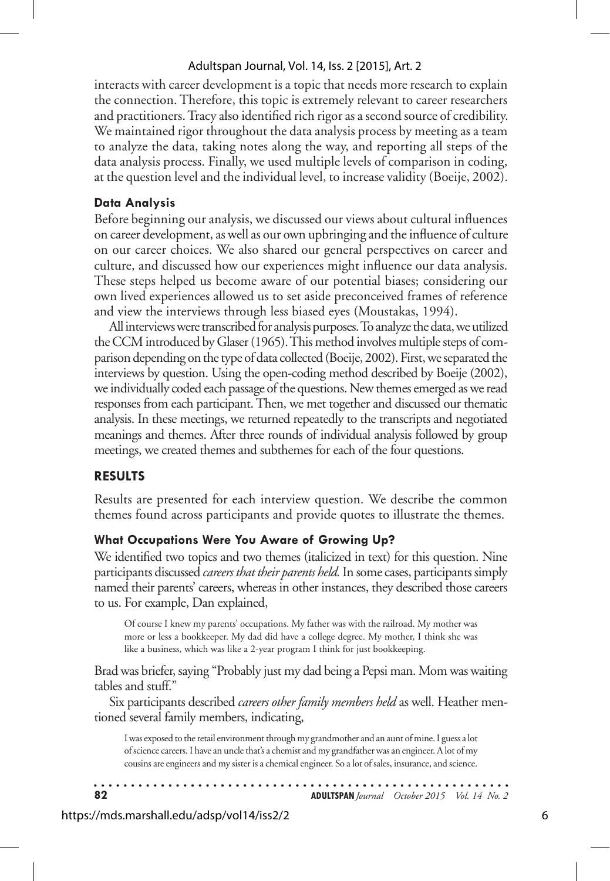interacts with career development is a topic that needs more research to explain the connection. Therefore, this topic is extremely relevant to career researchers and practitioners. Tracy also identified rich rigor as a second source of credibility. We maintained rigor throughout the data analysis process by meeting as a team to analyze the data, taking notes along the way, and reporting all steps of the data analysis process. Finally, we used multiple levels of comparison in coding, at the question level and the individual level, to increase validity (Boeije, 2002).

## **Data Analysis**

Before beginning our analysis, we discussed our views about cultural influences on career development, as well as our own upbringing and the influence of culture on our career choices. We also shared our general perspectives on career and culture, and discussed how our experiences might influence our data analysis. These steps helped us become aware of our potential biases; considering our own lived experiences allowed us to set aside preconceived frames of reference and view the interviews through less biased eyes (Moustakas, 1994).

All interviews were transcribed for analysis purposes. To analyze the data, we utilized the CCM introduced by Glaser (1965). This method involves multiple steps of comparison depending on the type of data collected (Boeije, 2002). First, we separated the interviews by question. Using the open-coding method described by Boeije (2002), we individually coded each passage of the questions. New themes emerged as we read responses from each participant. Then, we met together and discussed our thematic analysis. In these meetings, we returned repeatedly to the transcripts and negotiated meanings and themes. After three rounds of individual analysis followed by group meetings, we created themes and subthemes for each of the four questions.

# **results**

Results are presented for each interview question. We describe the common themes found across participants and provide quotes to illustrate the themes.

# **What Occupations Were You Aware of Growing Up?**

We identified two topics and two themes (italicized in text) for this question. Nine participants discussed *careers that their parents held.* In some cases, participants simply named their parents' careers, whereas in other instances, they described those careers to us. For example, Dan explained,

Of course I knew my parents' occupations. My father was with the railroad. My mother was more or less a bookkeeper. My dad did have a college degree. My mother, I think she was like a business, which was like a 2-year program I think for just bookkeeping.

Brad was briefer, saying "Probably just my dad being a Pepsi man. Mom was waiting tables and stuff."

Six participants described *careers other family members held* as well. Heather mentioned several family members, indicating,

I was exposed to the retail environment through my grandmother and an aunt of mine. I guess a lot of science careers. I have an uncle that's a chemist and my grandfather was an engineer. A lot of my cousins are engineers and my sister is a chemical engineer. So a lot of sales, insurance, and science.

| -82 | <b>ADULTSPAN</b> Journal October 2015 Vol. 14 No. 2 |  |
|-----|-----------------------------------------------------|--|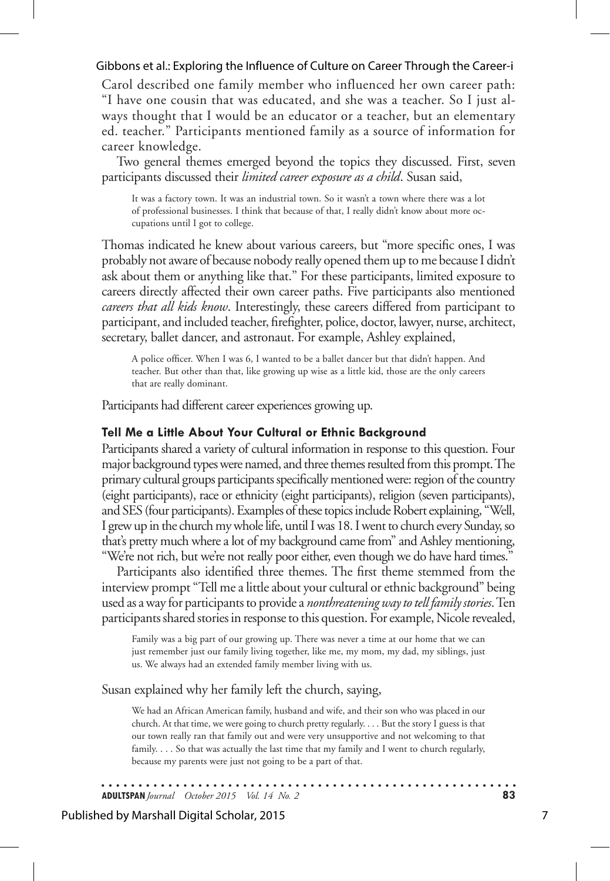Carol described one family member who influenced her own career path: "I have one cousin that was educated, and she was a teacher. So I just always thought that I would be an educator or a teacher, but an elementary ed. teacher." Participants mentioned family as a source of information for career knowledge.

Two general themes emerged beyond the topics they discussed. First, seven participants discussed their *limited career exposure as a child*. Susan said,

It was a factory town. It was an industrial town. So it wasn't a town where there was a lot of professional businesses. I think that because of that, I really didn't know about more occupations until I got to college.

Thomas indicated he knew about various careers, but "more specific ones, I was probably not aware of because nobody really opened them up to me because I didn't ask about them or anything like that." For these participants, limited exposure to careers directly affected their own career paths. Five participants also mentioned *careers that all kids know*. Interestingly, these careers differed from participant to participant, and included teacher, firefighter, police, doctor, lawyer, nurse, architect, secretary, ballet dancer, and astronaut. For example, Ashley explained,

A police officer. When I was 6, I wanted to be a ballet dancer but that didn't happen. And teacher. But other than that, like growing up wise as a little kid, those are the only careers that are really dominant.

Participants had different career experiences growing up.

#### **Tell Me a Little About Your Cultural or Ethnic Background**

Participants shared a variety of cultural information in response to this question. Four major background types were named, and three themes resulted from this prompt. The primary cultural groups participants specifically mentioned were: region of the country (eight participants), race or ethnicity (eight participants), religion (seven participants), and SES (four participants). Examples of these topics include Robert explaining, "Well, I grew up in the church my whole life, until I was 18. I went to church every Sunday, so that's pretty much where a lot of my background came from" and Ashley mentioning, "We're not rich, but we're not really poor either, even though we do have hard times."

Participants also identified three themes. The first theme stemmed from the interview prompt "Tell me a little about your cultural or ethnic background" being used as a way for participants to provide a *nonthreatening way to tell family stories*. Ten participants shared stories in response to this question. For example, Nicole revealed,

Family was a big part of our growing up. There was never a time at our home that we can just remember just our family living together, like me, my mom, my dad, my siblings, just us. We always had an extended family member living with us.

Susan explained why her family left the church, saying,

We had an African American family, husband and wife, and their son who was placed in our church. At that time, we were going to church pretty regularly. . . . But the story I guess is that our town really ran that family out and were very unsupportive and not welcoming to that family. . . . So that was actually the last time that my family and I went to church regularly, because my parents were just not going to be a part of that.

**ADULTSPAN***Journal October 2015 Vol. 14 No. 2* **83**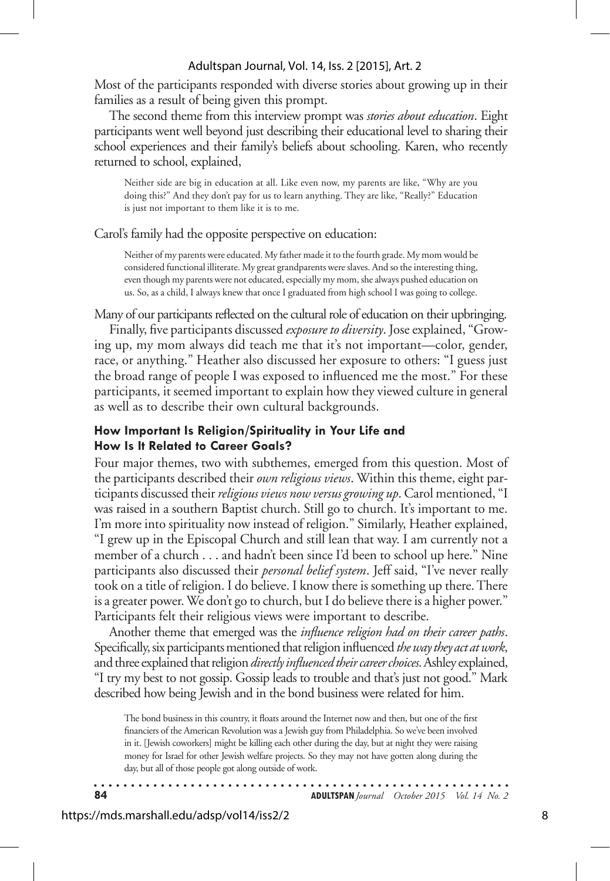Most of the participants responded with diverse stories about growing up in their families as a result of being given this prompt.

The second theme from this interview prompt was *stories about education*. Eight participants went well beyond just describing their educational level to sharing their school experiences and their family's beliefs about schooling. Karen, who recently returned to school, explained,

Neither side are big in education at all. Like even now, my parents are like, "Why are you doing this?" And they don't pay for us to learn anything. They are like, "Really?" Education is just not important to them like it is to me.

#### Carol's family had the opposite perspective on education:

Neither of my parents were educated. My father made it to the fourth grade. My mom would be considered functional illiterate. My great grandparents were slaves. And so the interesting thing, even though my parents were not educated, especially my mom, she always pushed education on us. So, as a child, I always knew that once I graduated from high school I was going to college.

Many of our participants reflected on the cultural role of education on their upbringing.

Finally, five participants discussed *exposure to diversity*. Jose explained, "Growing up, my mom always did teach me that it's not important—color, gender, race, or anything." Heather also discussed her exposure to others: "I guess just the broad range of people I was exposed to influenced me the most." For these participants, it seemed important to explain how they viewed culture in general as well as to describe their own cultural backgrounds.

### **How Important Is Religion/Spirituality in Your Life and How Is It Related to Career Goals?**

Four major themes, two with subthemes, emerged from this question. Most of the participants described their *own religious views*. Within this theme, eight participants discussed their *religious views now versus growing up*. Carol mentioned, "I was raised in a southern Baptist church. Still go to church. It's important to me. I'm more into spirituality now instead of religion." Similarly, Heather explained, "I grew up in the Episcopal Church and still lean that way. I am currently not a member of a church . . . and hadn't been since I'd been to school up here." Nine participants also discussed their *personal belief system*. Jeff said, "I've never really took on a title of religion. I do believe. I know there is something up there. There is a greater power. We don't go to church, but I do believe there is a higher power." Participants felt their religious views were important to describe.

Another theme that emerged was the *influence religion had on their career paths*. Specifically, six participants mentioned that religion influenced *the way they act at work*, and three explained that religion *directly influenced their career choices*. Ashley explained, "I try my best to not gossip. Gossip leads to trouble and that's just not good." Mark described how being Jewish and in the bond business were related for him.

The bond business in this country, it floats around the Internet now and then, but one of the first financiers of the American Revolution was a Jewish guy from Philadelphia. So we've been involved in it. [Jewish coworkers] might be killing each other during the day, but at night they were raising money for Israel for other Jewish welfare projects. So they may not have gotten along during the day, but all of those people got along outside of work.

**84 ADULTSPAN***Journal October 2015 Vol. 14 No. 2*

. . . . . . . . . . .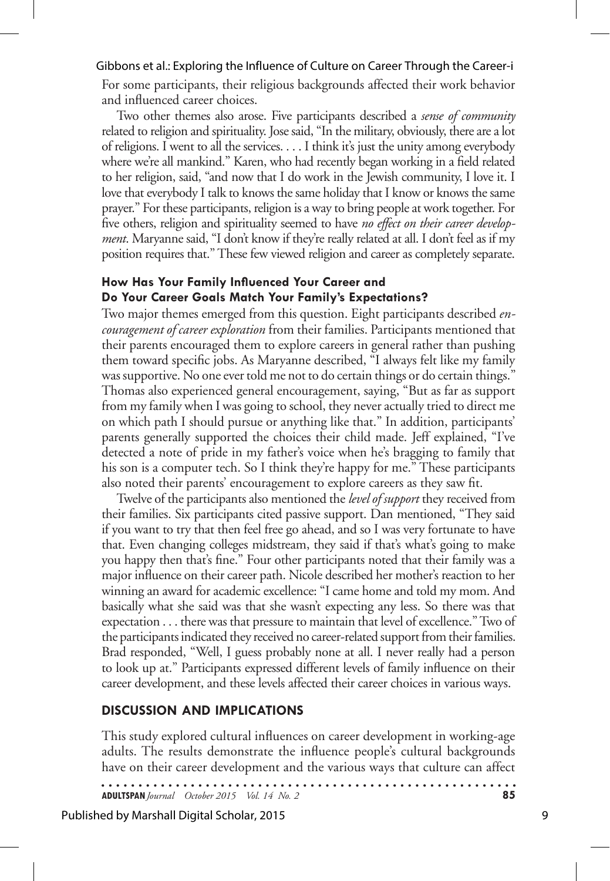For some participants, their religious backgrounds affected their work behavior and influenced career choices.

Two other themes also arose. Five participants described a *sense of community*  related to religion and spirituality. Jose said, "In the military, obviously, there are a lot of religions. I went to all the services. . . . I think it's just the unity among everybody where we're all mankind." Karen, who had recently began working in a field related to her religion, said, "and now that I do work in the Jewish community, I love it. I love that everybody I talk to knows the same holiday that I know or knows the same prayer." For these participants, religion is a way to bring people at work together. For five others, religion and spirituality seemed to have *no effect on their career development*. Maryanne said, "I don't know if they're really related at all. I don't feel as if my position requires that." These few viewed religion and career as completely separate.

#### **How Has Your Family Influenced Your Career and Do Your Career Goals Match Your Family's Expectations?**

Two major themes emerged from this question. Eight participants described *encouragement of career exploration* from their families. Participants mentioned that their parents encouraged them to explore careers in general rather than pushing them toward specific jobs. As Maryanne described, "I always felt like my family was supportive. No one ever told me not to do certain things or do certain things." Thomas also experienced general encouragement, saying, "But as far as support from my family when I was going to school, they never actually tried to direct me on which path I should pursue or anything like that." In addition, participants' parents generally supported the choices their child made. Jeff explained, "I've detected a note of pride in my father's voice when he's bragging to family that his son is a computer tech. So I think they're happy for me." These participants also noted their parents' encouragement to explore careers as they saw fit.

Twelve of the participants also mentioned the *level of support* they received from their families. Six participants cited passive support. Dan mentioned, "They said if you want to try that then feel free go ahead, and so I was very fortunate to have that. Even changing colleges midstream, they said if that's what's going to make you happy then that's fine." Four other participants noted that their family was a major influence on their career path. Nicole described her mother's reaction to her winning an award for academic excellence: "I came home and told my mom. And basically what she said was that she wasn't expecting any less. So there was that expectation . . . there was that pressure to maintain that level of excellence." Two of the participants indicated they received no career-related support from their families. Brad responded, "Well, I guess probably none at all. I never really had a person to look up at." Participants expressed different levels of family influence on their career development, and these levels affected their career choices in various ways.

# **Discussion and Implications**

This study explored cultural influences on career development in working-age adults. The results demonstrate the influence people's cultural backgrounds have on their career development and the various ways that culture can affect

**ADULTSPAN***Journal October 2015 Vol. 14 No. 2* **85**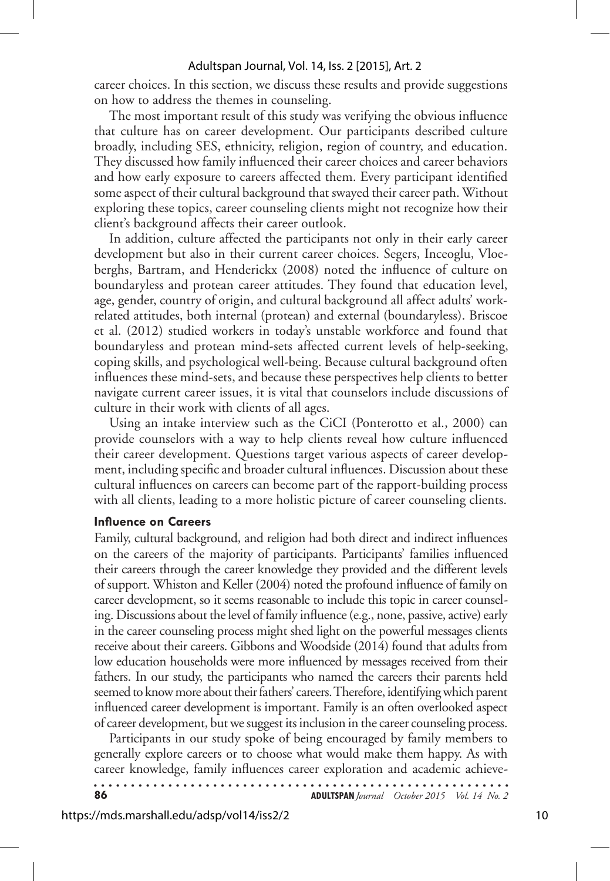career choices. In this section, we discuss these results and provide suggestions on how to address the themes in counseling.

The most important result of this study was verifying the obvious influence that culture has on career development. Our participants described culture broadly, including SES, ethnicity, religion, region of country, and education. They discussed how family influenced their career choices and career behaviors and how early exposure to careers affected them. Every participant identified some aspect of their cultural background that swayed their career path. Without exploring these topics, career counseling clients might not recognize how their client's background affects their career outlook.

In addition, culture affected the participants not only in their early career development but also in their current career choices. Segers, Inceoglu, Vloeberghs, Bartram, and Henderickx (2008) noted the influence of culture on boundaryless and protean career attitudes. They found that education level, age, gender, country of origin, and cultural background all affect adults' workrelated attitudes, both internal (protean) and external (boundaryless). Briscoe et al. (2012) studied workers in today's unstable workforce and found that boundaryless and protean mind-sets affected current levels of help-seeking, coping skills, and psychological well-being. Because cultural background often influences these mind-sets, and because these perspectives help clients to better navigate current career issues, it is vital that counselors include discussions of culture in their work with clients of all ages.

Using an intake interview such as the CiCI (Ponterotto et al., 2000) can provide counselors with a way to help clients reveal how culture influenced their career development. Questions target various aspects of career development, including specific and broader cultural influences. Discussion about these cultural influences on careers can become part of the rapport-building process with all clients, leading to a more holistic picture of career counseling clients.

#### **Influence on Careers**

Family, cultural background, and religion had both direct and indirect influences on the careers of the majority of participants. Participants' families influenced their careers through the career knowledge they provided and the different levels of support. Whiston and Keller (2004) noted the profound influence of family on career development, so it seems reasonable to include this topic in career counseling. Discussions about the level of family influence (e.g., none, passive, active) early in the career counseling process might shed light on the powerful messages clients receive about their careers. Gibbons and Woodside (2014) found that adults from low education households were more influenced by messages received from their fathers. In our study, the participants who named the careers their parents held seemed to know more about their fathers' careers. Therefore, identifying which parent influenced career development is important. Family is an often overlooked aspect of career development, but we suggest its inclusion in the career counseling process.

Participants in our study spoke of being encouraged by family members to generally explore careers or to choose what would make them happy. As with career knowledge, family influences career exploration and academic achieve-

| 86 | <b>ADULTSPAN</b> Journal October 2015 Vol. 14 No. 2 |  |
|----|-----------------------------------------------------|--|
|    |                                                     |  |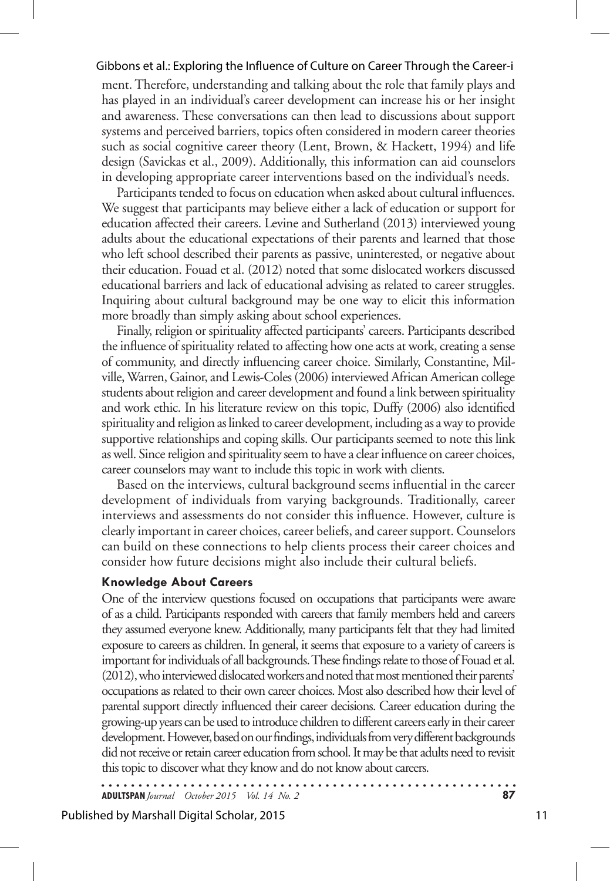ment. Therefore, understanding and talking about the role that family plays and has played in an individual's career development can increase his or her insight and awareness. These conversations can then lead to discussions about support systems and perceived barriers, topics often considered in modern career theories such as social cognitive career theory (Lent, Brown, & Hackett, 1994) and life design (Savickas et al., 2009). Additionally, this information can aid counselors in developing appropriate career interventions based on the individual's needs.

Participants tended to focus on education when asked about cultural influences. We suggest that participants may believe either a lack of education or support for education affected their careers. Levine and Sutherland (2013) interviewed young adults about the educational expectations of their parents and learned that those who left school described their parents as passive, uninterested, or negative about their education. Fouad et al. (2012) noted that some dislocated workers discussed educational barriers and lack of educational advising as related to career struggles. Inquiring about cultural background may be one way to elicit this information more broadly than simply asking about school experiences.

Finally, religion or spirituality affected participants' careers. Participants described the influence of spirituality related to affecting how one acts at work, creating a sense of community, and directly influencing career choice. Similarly, Constantine, Milville, Warren, Gainor, and Lewis-Coles (2006) interviewed African American college students about religion and career development and found a link between spirituality and work ethic. In his literature review on this topic, Duffy (2006) also identified spirituality and religion as linked to career development, including as a way to provide supportive relationships and coping skills. Our participants seemed to note this link as well. Since religion and spirituality seem to have a clear influence on career choices, career counselors may want to include this topic in work with clients.

Based on the interviews, cultural background seems influential in the career development of individuals from varying backgrounds. Traditionally, career interviews and assessments do not consider this influence. However, culture is clearly important in career choices, career beliefs, and career support. Counselors can build on these connections to help clients process their career choices and consider how future decisions might also include their cultural beliefs.

#### **Knowledge About Careers**

One of the interview questions focused on occupations that participants were aware of as a child. Participants responded with careers that family members held and careers they assumed everyone knew. Additionally, many participants felt that they had limited exposure to careers as children. In general, it seems that exposure to a variety of careers is important for individuals of all backgrounds. These findings relate to those of Fouad et al. (2012), who interviewed dislocated workers and noted that most mentioned their parents' occupations as related to their own career choices. Most also described how their level of parental support directly influenced their career decisions. Career education during the growing-up years can be used to introduce children to different careers early in their career development. However, based on our findings, individuals from very different backgrounds did not receive or retain career education from school. It may be that adults need to revisit this topic to discover what they know and do not know about careers.

. . . . . . . . . . . . . . **ADULTSPAN***Journal October 2015 Vol. 14 No. 2* **87**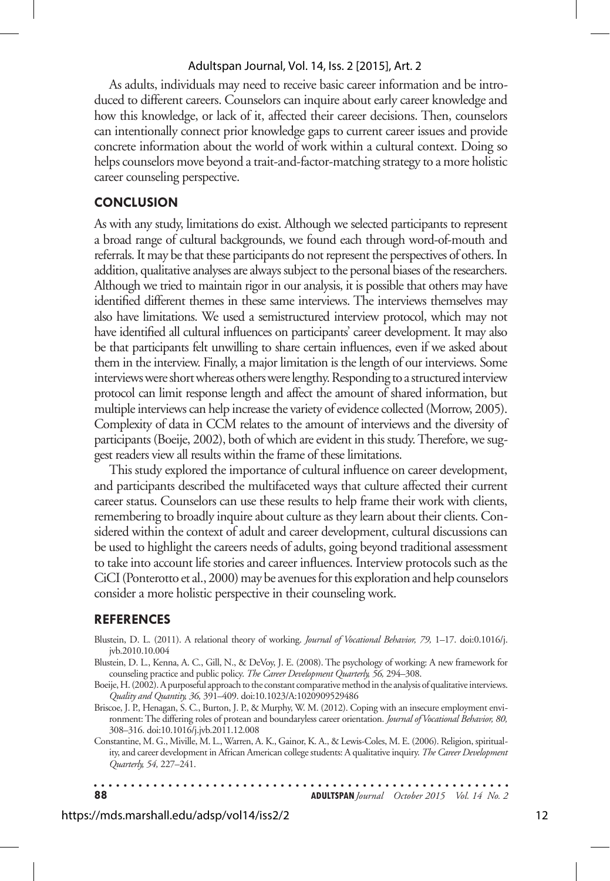As adults, individuals may need to receive basic career information and be introduced to different careers. Counselors can inquire about early career knowledge and how this knowledge, or lack of it, affected their career decisions. Then, counselors can intentionally connect prior knowledge gaps to current career issues and provide concrete information about the world of work within a cultural context. Doing so helps counselors move beyond a trait-and-factor-matching strategy to a more holistic career counseling perspective.

## **Conclusion**

As with any study, limitations do exist. Although we selected participants to represent a broad range of cultural backgrounds, we found each through word-of-mouth and referrals. It may be that these participants do not represent the perspectives of others. In addition, qualitative analyses are always subject to the personal biases of the researchers. Although we tried to maintain rigor in our analysis, it is possible that others may have identified different themes in these same interviews. The interviews themselves may also have limitations. We used a semistructured interview protocol, which may not have identified all cultural influences on participants' career development. It may also be that participants felt unwilling to share certain influences, even if we asked about them in the interview. Finally, a major limitation is the length of our interviews. Some interviews were short whereas others were lengthy. Responding to a structured interview protocol can limit response length and affect the amount of shared information, but multiple interviews can help increase the variety of evidence collected (Morrow, 2005). Complexity of data in CCM relates to the amount of interviews and the diversity of participants (Boeije, 2002), both of which are evident in this study. Therefore, we suggest readers view all results within the frame of these limitations.

This study explored the importance of cultural influence on career development, and participants described the multifaceted ways that culture affected their current career status. Counselors can use these results to help frame their work with clients, remembering to broadly inquire about culture as they learn about their clients. Considered within the context of adult and career development, cultural discussions can be used to highlight the careers needs of adults, going beyond traditional assessment to take into account life stories and career influences. Interview protocols such as the CiCI (Ponterotto et al., 2000) may be avenues for this exploration and help counselors consider a more holistic perspective in their counseling work.

#### **References**

- Blustein, D. L. (2011). A relational theory of working. *Journal of Vocational Behavior, 79,* 1–17. doi:0.1016/j. jvb.2010.10.004
- Blustein, D. L., Kenna, A. C., Gill, N., & DeVoy, J. E. (2008). The psychology of working: A new framework for counseling practice and public policy. *The Career Development Quarterly, 56,* 294–308.
- Boeije, H. (2002). A purposeful approach to the constant comparative method in the analysis of qualitative interviews. *Quality and Quantity, 36,* 391–409. doi:10.1023/A:1020909529486
- Briscoe, J. P., Henagan, S. C., Burton, J. P., & Murphy, W. M. (2012). Coping with an insecure employment environment: The differing roles of protean and boundaryless career orientation. *Journal of Vocational Behavior, 80,*  308–316. doi:10.1016/j.jvb.2011.12.008

Constantine, M. G., Miville, M. L., Warren, A. K., Gainor, K. A., & Lewis-Coles, M. E. (2006). Religion, spirituality, and career development in African American college students: A qualitative inquiry. *The Career Development Quarterly, 54,* 227–241.

 $\ddot{\phantom{a}}$ . . . . . . . . . . . . . . **88 ADULTSPAN***Journal October 2015 Vol. 14 No. 2*